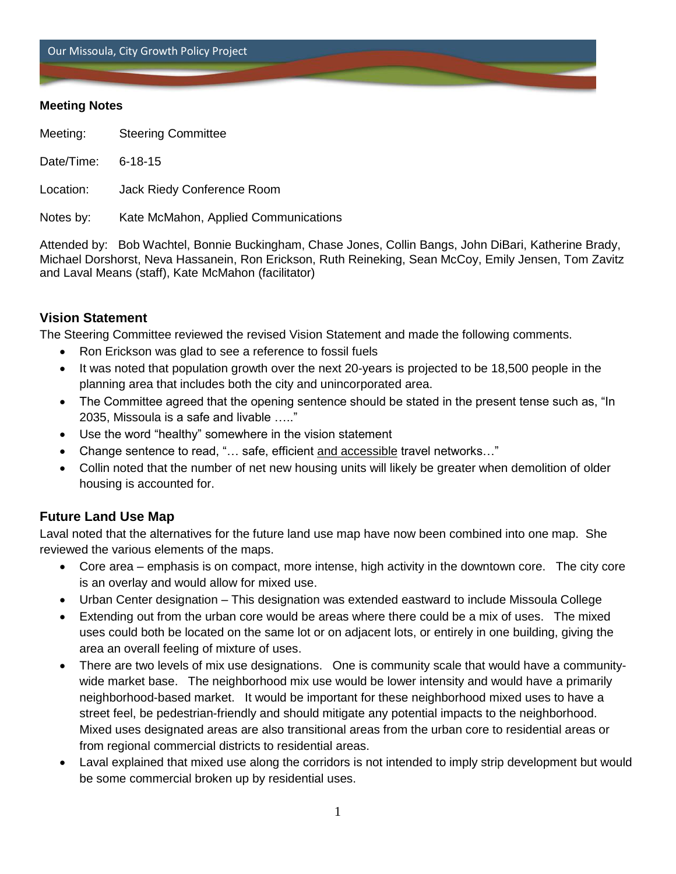Our Missoula, City Growth Policy Project

#### **Meeting Notes**

Meeting: Steering Committee

Date/Time: 6-18-15

Location: Jack Riedy Conference Room

Notes by: Kate McMahon, Applied Communications

Attended by: Bob Wachtel, Bonnie Buckingham, Chase Jones, Collin Bangs, John DiBari, Katherine Brady, Michael Dorshorst, Neva Hassanein, Ron Erickson, Ruth Reineking, Sean McCoy, Emily Jensen, Tom Zavitz and Laval Means (staff), Kate McMahon (facilitator)

# **Vision Statement**

The Steering Committee reviewed the revised Vision Statement and made the following comments.

- Ron Erickson was glad to see a reference to fossil fuels
- It was noted that population growth over the next 20-years is projected to be 18,500 people in the planning area that includes both the city and unincorporated area.
- The Committee agreed that the opening sentence should be stated in the present tense such as, "In 2035, Missoula is a safe and livable ….."
- Use the word "healthy" somewhere in the vision statement
- Change sentence to read, "… safe, efficient and accessible travel networks…"
- Collin noted that the number of net new housing units will likely be greater when demolition of older housing is accounted for.

# **Future Land Use Map**

Laval noted that the alternatives for the future land use map have now been combined into one map. She reviewed the various elements of the maps.

- Core area emphasis is on compact, more intense, high activity in the downtown core. The city core is an overlay and would allow for mixed use.
- Urban Center designation This designation was extended eastward to include Missoula College
- Extending out from the urban core would be areas where there could be a mix of uses. The mixed uses could both be located on the same lot or on adjacent lots, or entirely in one building, giving the area an overall feeling of mixture of uses.
- There are two levels of mix use designations. One is community scale that would have a communitywide market base. The neighborhood mix use would be lower intensity and would have a primarily neighborhood-based market. It would be important for these neighborhood mixed uses to have a street feel, be pedestrian-friendly and should mitigate any potential impacts to the neighborhood. Mixed uses designated areas are also transitional areas from the urban core to residential areas or from regional commercial districts to residential areas.
- Laval explained that mixed use along the corridors is not intended to imply strip development but would be some commercial broken up by residential uses.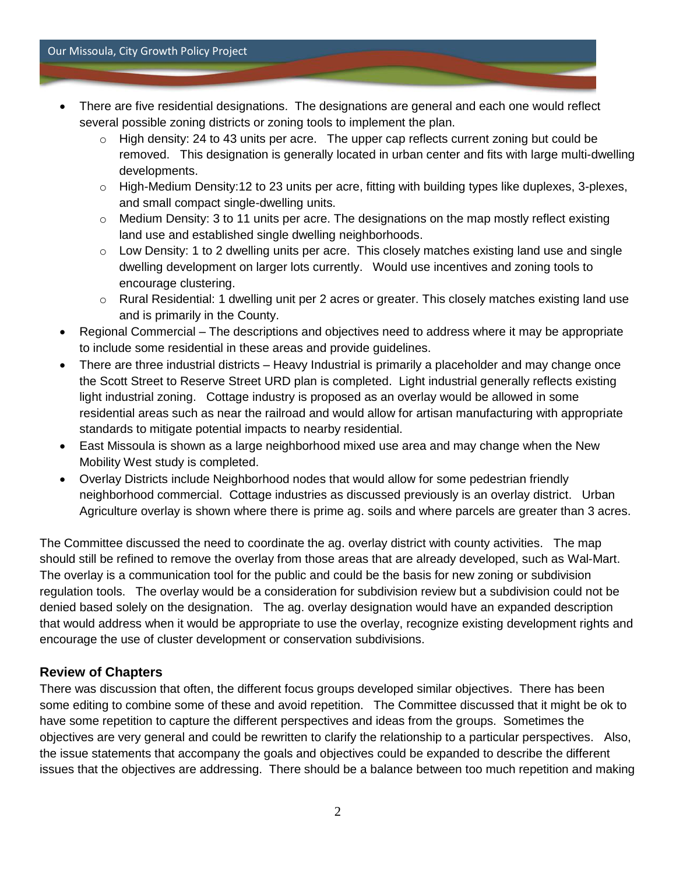#### Our Missoula, City Growth Policy Project

- There are five residential designations. The designations are general and each one would reflect several possible zoning districts or zoning tools to implement the plan.
	- $\circ$  High density: 24 to 43 units per acre. The upper cap reflects current zoning but could be removed. This designation is generally located in urban center and fits with large multi-dwelling developments.
	- $\circ$  High-Medium Density:12 to 23 units per acre, fitting with building types like duplexes, 3-plexes, and small compact single-dwelling units.
	- o Medium Density: 3 to 11 units per acre. The designations on the map mostly reflect existing land use and established single dwelling neighborhoods.
	- $\circ$  Low Density: 1 to 2 dwelling units per acre. This closely matches existing land use and single dwelling development on larger lots currently. Would use incentives and zoning tools to encourage clustering.
	- $\circ$  Rural Residential: 1 dwelling unit per 2 acres or greater. This closely matches existing land use and is primarily in the County.
- Regional Commercial The descriptions and objectives need to address where it may be appropriate to include some residential in these areas and provide guidelines.
- There are three industrial districts Heavy Industrial is primarily a placeholder and may change once the Scott Street to Reserve Street URD plan is completed. Light industrial generally reflects existing light industrial zoning. Cottage industry is proposed as an overlay would be allowed in some residential areas such as near the railroad and would allow for artisan manufacturing with appropriate standards to mitigate potential impacts to nearby residential.
- East Missoula is shown as a large neighborhood mixed use area and may change when the New Mobility West study is completed.
- Overlay Districts include Neighborhood nodes that would allow for some pedestrian friendly neighborhood commercial. Cottage industries as discussed previously is an overlay district. Urban Agriculture overlay is shown where there is prime ag. soils and where parcels are greater than 3 acres.

The Committee discussed the need to coordinate the ag. overlay district with county activities. The map should still be refined to remove the overlay from those areas that are already developed, such as Wal-Mart. The overlay is a communication tool for the public and could be the basis for new zoning or subdivision regulation tools. The overlay would be a consideration for subdivision review but a subdivision could not be denied based solely on the designation. The ag. overlay designation would have an expanded description that would address when it would be appropriate to use the overlay, recognize existing development rights and encourage the use of cluster development or conservation subdivisions.

# **Review of Chapters**

There was discussion that often, the different focus groups developed similar objectives. There has been some editing to combine some of these and avoid repetition. The Committee discussed that it might be ok to have some repetition to capture the different perspectives and ideas from the groups. Sometimes the objectives are very general and could be rewritten to clarify the relationship to a particular perspectives. Also, the issue statements that accompany the goals and objectives could be expanded to describe the different issues that the objectives are addressing. There should be a balance between too much repetition and making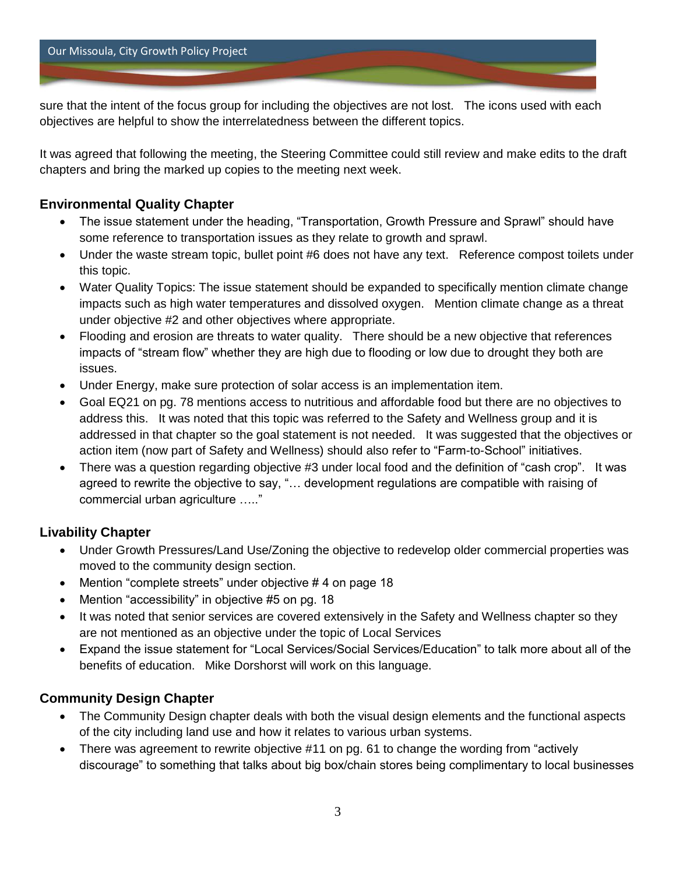sure that the intent of the focus group for including the objectives are not lost. The icons used with each objectives are helpful to show the interrelatedness between the different topics.

It was agreed that following the meeting, the Steering Committee could still review and make edits to the draft chapters and bring the marked up copies to the meeting next week.

#### **Environmental Quality Chapter**

- The issue statement under the heading, "Transportation, Growth Pressure and Sprawl" should have some reference to transportation issues as they relate to growth and sprawl.
- Under the waste stream topic, bullet point #6 does not have any text. Reference compost toilets under this topic.
- Water Quality Topics: The issue statement should be expanded to specifically mention climate change impacts such as high water temperatures and dissolved oxygen. Mention climate change as a threat under objective #2 and other objectives where appropriate.
- Flooding and erosion are threats to water quality. There should be a new objective that references impacts of "stream flow" whether they are high due to flooding or low due to drought they both are issues.
- Under Energy, make sure protection of solar access is an implementation item.
- Goal EQ21 on pg. 78 mentions access to nutritious and affordable food but there are no objectives to address this. It was noted that this topic was referred to the Safety and Wellness group and it is addressed in that chapter so the goal statement is not needed. It was suggested that the objectives or action item (now part of Safety and Wellness) should also refer to "Farm-to-School" initiatives.
- There was a question regarding objective #3 under local food and the definition of "cash crop". It was agreed to rewrite the objective to say, "… development regulations are compatible with raising of commercial urban agriculture ….."

# **Livability Chapter**

- Under Growth Pressures/Land Use/Zoning the objective to redevelop older commercial properties was moved to the community design section.
- Mention "complete streets" under objective # 4 on page 18
- Mention "accessibility" in objective #5 on pg. 18
- It was noted that senior services are covered extensively in the Safety and Wellness chapter so they are not mentioned as an objective under the topic of Local Services
- Expand the issue statement for "Local Services/Social Services/Education" to talk more about all of the benefits of education. Mike Dorshorst will work on this language.

# **Community Design Chapter**

- The Community Design chapter deals with both the visual design elements and the functional aspects of the city including land use and how it relates to various urban systems.
- There was agreement to rewrite objective #11 on pg. 61 to change the wording from "actively" discourage" to something that talks about big box/chain stores being complimentary to local businesses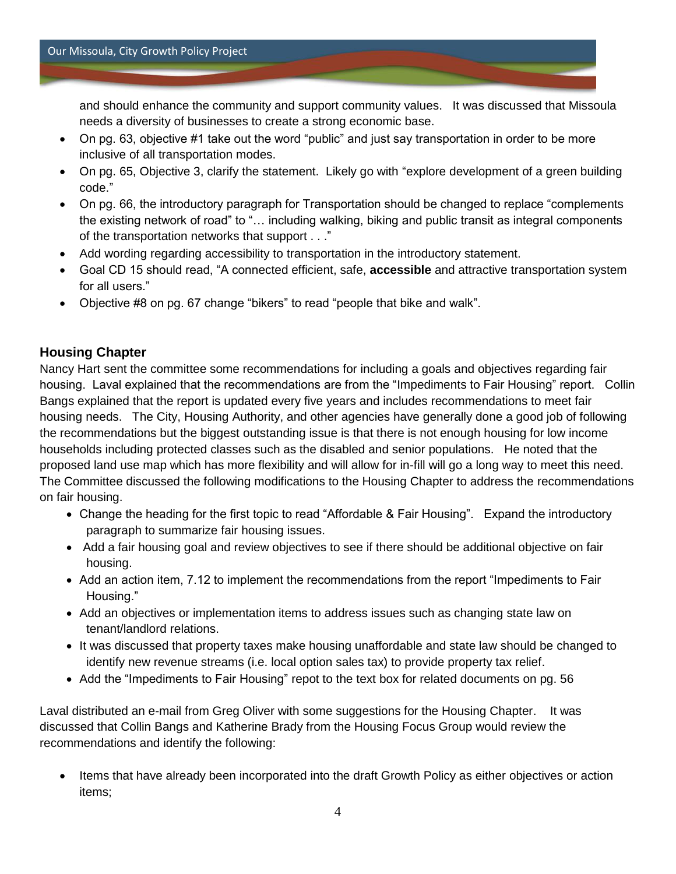and should enhance the community and support community values. It was discussed that Missoula needs a diversity of businesses to create a strong economic base.

- On pg. 63, objective #1 take out the word "public" and just say transportation in order to be more inclusive of all transportation modes.
- On pg. 65, Objective 3, clarify the statement. Likely go with "explore development of a green building code."
- On pg. 66, the introductory paragraph for Transportation should be changed to replace "complements the existing network of road" to "… including walking, biking and public transit as integral components of the transportation networks that support . . ."
- Add wording regarding accessibility to transportation in the introductory statement.
- Goal CD 15 should read, "A connected efficient, safe, **accessible** and attractive transportation system for all users."
- Objective #8 on pg. 67 change "bikers" to read "people that bike and walk".

# **Housing Chapter**

Nancy Hart sent the committee some recommendations for including a goals and objectives regarding fair housing. Laval explained that the recommendations are from the "Impediments to Fair Housing" report. Collin Bangs explained that the report is updated every five years and includes recommendations to meet fair housing needs. The City, Housing Authority, and other agencies have generally done a good job of following the recommendations but the biggest outstanding issue is that there is not enough housing for low income households including protected classes such as the disabled and senior populations. He noted that the proposed land use map which has more flexibility and will allow for in-fill will go a long way to meet this need. The Committee discussed the following modifications to the Housing Chapter to address the recommendations on fair housing.

- Change the heading for the first topic to read "Affordable & Fair Housing". Expand the introductory paragraph to summarize fair housing issues.
- Add a fair housing goal and review objectives to see if there should be additional objective on fair housing.
- Add an action item, 7.12 to implement the recommendations from the report "Impediments to Fair Housing."
- Add an objectives or implementation items to address issues such as changing state law on tenant/landlord relations.
- It was discussed that property taxes make housing unaffordable and state law should be changed to identify new revenue streams (i.e. local option sales tax) to provide property tax relief.
- Add the "Impediments to Fair Housing" repot to the text box for related documents on pg. 56

Laval distributed an e-mail from Greg Oliver with some suggestions for the Housing Chapter. It was discussed that Collin Bangs and Katherine Brady from the Housing Focus Group would review the recommendations and identify the following:

 Items that have already been incorporated into the draft Growth Policy as either objectives or action items;